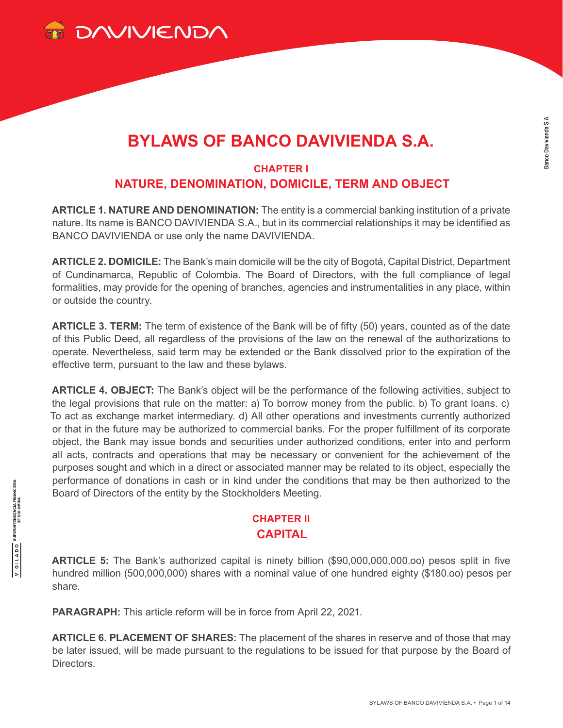

# **BYLAWS OF BANCO DAVIVIENDA S.A.**

## **CHAPTER I NATURE, DENOMINATION, DOMICILE, TERM AND OBJECT**

**ARTICLE 1. NATURE AND DENOMINATION:** The entity is a commercial banking institution of a private nature. Its name is BANCO DAVIVIENDA S.A., but in its commercial relationships it may be identified as BANCO DAVIVIENDA or use only the name DAVIVIENDA.

**ARTICLE 2. DOMICILE:** The Bank's main domicile will be the city of Bogotá, Capital District, Department of Cundinamarca, Republic of Colombia. The Board of Directors, with the full compliance of legal formalities, may provide for the opening of branches, agencies and instrumentalities in any place, within or outside the country.

**ARTICLE 3. TERM:** The term of existence of the Bank will be of fifty (50) years, counted as of the date of this Public Deed, all regardless of the provisions of the law on the renewal of the authorizations to operate. Nevertheless, said term may be extended or the Bank dissolved prior to the expiration of the effective term, pursuant to the law and these bylaws.

**ARTICLE 4. OBJECT:** The Bank's object will be the performance of the following activities, subject to the legal provisions that rule on the matter: a) To borrow money from the public. b) To grant loans. c) To act as exchange market intermediary. d) All other operations and investments currently authorized or that in the future may be authorized to commercial banks. For the proper fulfillment of its corporate object, the Bank may issue bonds and securities under authorized conditions, enter into and perform all acts, contracts and operations that may be necessary or convenient for the achievement of the purposes sought and which in a direct or associated manner may be related to its object, especially the performance of donations in cash or in kind under the conditions that may be then authorized to the Board of Directors of the entity by the Stockholders Meeting.

## **CHAPTER II CAPITAL**

**ARTICLE 5:** The Bank's authorized capital is ninety billion (\$90,000,000,000.oo) pesos split in five hundred million (500,000,000) shares with a nominal value of one hundred eighty (\$180.oo) pesos per share.

**PARAGRAPH:** This article reform will be in force from April 22, 2021.

**ARTICLE 6. PLACEMENT OF SHARES:** The placement of the shares in reserve and of those that may be later issued, will be made pursuant to the regulations to be issued for that purpose by the Board of **Directors**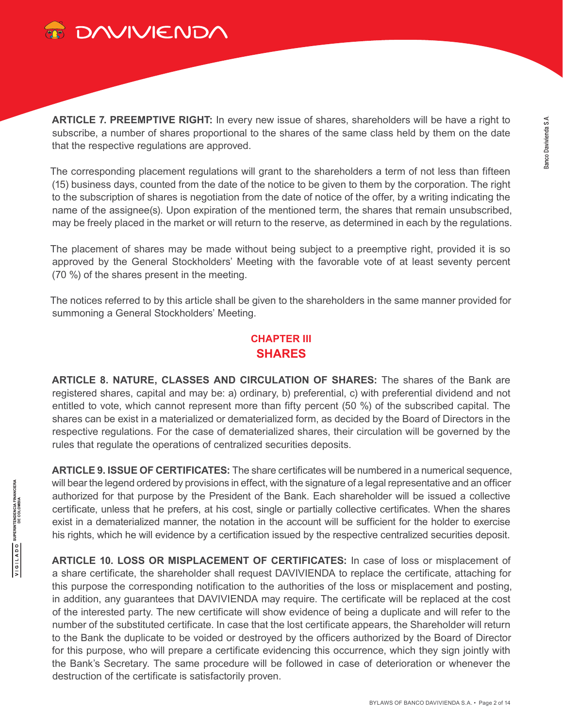

**ARTICLE 7. PREEMPTIVE RIGHT:** In every new issue of shares, shareholders will be have a right to subscribe, a number of shares proportional to the shares of the same class held by them on the date that the respective regulations are approved.

The corresponding placement regulations will grant to the shareholders a term of not less than fifteen (15) business days, counted from the date of the notice to be given to them by the corporation. The right to the subscription of shares is negotiation from the date of notice of the offer, by a writing indicating the name of the assignee(s). Upon expiration of the mentioned term, the shares that remain unsubscribed, may be freely placed in the market or will return to the reserve, as determined in each by the regulations.

The placement of shares may be made without being subject to a preemptive right, provided it is so approved by the General Stockholders' Meeting with the favorable vote of at least seventy percent (70 %) of the shares present in the meeting.

The notices referred to by this article shall be given to the shareholders in the same manner provided for summoning a General Stockholders' Meeting.

### **CHAPTER III SHARES**

**ARTICLE 8. NATURE, CLASSES AND CIRCULATION OF SHARES:** The shares of the Bank are registered shares, capital and may be: a) ordinary, b) preferential, c) with preferential dividend and not entitled to vote, which cannot represent more than fifty percent (50 %) of the subscribed capital. The shares can be exist in a materialized or dematerialized form, as decided by the Board of Directors in the respective regulations. For the case of dematerialized shares, their circulation will be governed by the rules that regulate the operations of centralized securities deposits.

**ARTICLE 9. ISSUE OF CERTIFICATES:** The share certificates will be numbered in a numerical sequence, will bear the legend ordered by provisions in effect, with the signature of a legal representative and an officer authorized for that purpose by the President of the Bank. Each shareholder will be issued a collective certificate, unless that he prefers, at his cost, single or partially collective certificates. When the shares exist in a dematerialized manner, the notation in the account will be sufficient for the holder to exercise his rights, which he will evidence by a certification issued by the respective centralized securities deposit.

**ARTICLE 10. LOSS OR MISPLACEMENT OF CERTIFICATES:** In case of loss or misplacement of a share certificate, the shareholder shall request DAVIVIENDA to replace the certificate, attaching for this purpose the corresponding notification to the authorities of the loss or misplacement and posting, in addition, any guarantees that DAVIVIENDA may require. The certificate will be replaced at the cost of the interested party. The new certificate will show evidence of being a duplicate and will refer to the number of the substituted certificate. In case that the lost certificate appears, the Shareholder will return to the Bank the duplicate to be voided or destroyed by the officers authorized by the Board of Director for this purpose, who will prepare a certificate evidencing this occurrence, which they sign jointly with the Bank's Secretary. The same procedure will be followed in case of deterioration or whenever the destruction of the certificate is satisfactorily proven.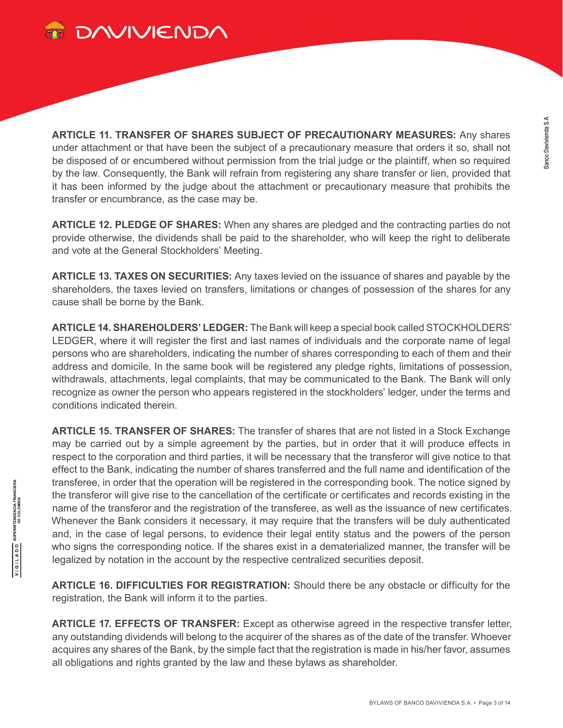

**ARTICLE 11. TRANSFER OF SHARES SUBJECT OF PRECAUTIONARY MEASURES:** Any shares under attachment or that have been the subject of a precautionary measure that orders it so, shall not be disposed of or encumbered without permission from the trial judge or the plaintiff, when so required by the law. Consequently, the Bank will refrain from registering any share transfer or lien, provided that it has been informed by the judge about the attachment or precautionary measure that prohibits the transfer or encumbrance, as the case may be.

**ARTICLE 12. PLEDGE OF SHARES:** When any shares are pledged and the contracting parties do not provide otherwise, the dividends shall be paid to the shareholder, who will keep the right to deliberate and vote at the General Stockholders' Meeting.

**ARTICLE 13. TAXES ON SECURITIES:** Any taxes levied on the issuance of shares and payable by the shareholders, the taxes levied on transfers, limitations or changes of possession of the shares for any cause shall be borne by the Bank.

**ARTICLE 14. SHAREHOLDERS' LEDGER:** The Bank will keep a special book called STOCKHOLDERS' LEDGER, where it will register the first and last names of individuals and the corporate name of legal persons who are shareholders, indicating the number of shares corresponding to each of them and their address and domicile. In the same book will be registered any pledge rights, limitations of possession, withdrawals, attachments, legal complaints, that may be communicated to the Bank. The Bank will only recognize as owner the person who appears registered in the stockholders' ledger, under the terms and conditions indicated therein.

**ARTICLE 15. TRANSFER OF SHARES:** The transfer of shares that are not listed in a Stock Exchange may be carried out by a simple agreement by the parties, but in order that it will produce effects in respect to the corporation and third parties, it will be necessary that the transferor will give notice to that effect to the Bank, indicating the number of shares transferred and the full name and identification of the transferee, in order that the operation will be registered in the corresponding book. The notice signed by the transferor will give rise to the cancellation of the certificate or certificates and records existing in the name of the transferor and the registration of the transferee, as well as the issuance of new certificates. Whenever the Bank considers it necessary, it may require that the transfers will be duly authenticated and, in the case of legal persons, to evidence their legal entity status and the powers of the person who signs the corresponding notice. If the shares exist in a dematerialized manner, the transfer will be legalized by notation in the account by the respective centralized securities deposit.

**ARTICLE 16. DIFFICULTIES FOR REGISTRATION:** Should there be any obstacle or difficulty for the registration, the Bank will inform it to the parties.

**ARTICLE 17. EFFECTS OF TRANSFER:** Except as otherwise agreed in the respective transfer letter, any outstanding dividends will belong to the acquirer of the shares as of the date of the transfer. Whoever acquires any shares of the Bank, by the simple fact that the registration is made in his/her favor, assumes all obligations and rights granted by the law and these bylaws as shareholder.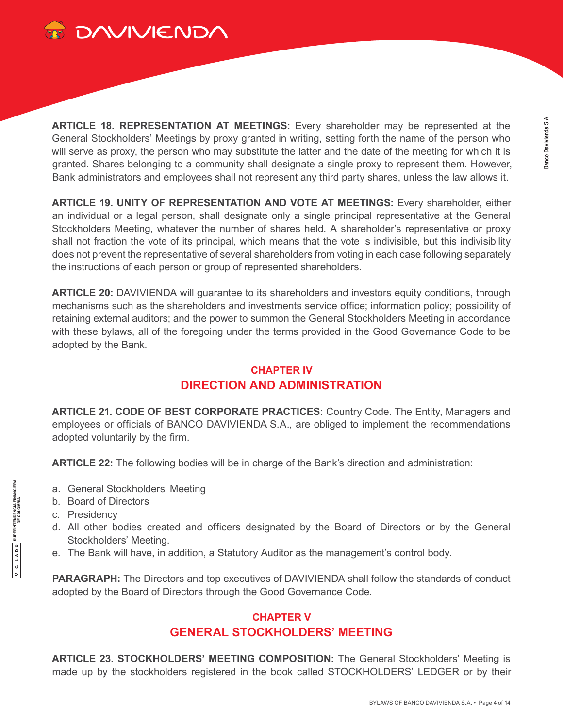

**ARTICLE 18. REPRESENTATION AT MEETINGS:** Every shareholder may be represented at the General Stockholders' Meetings by proxy granted in writing, setting forth the name of the person who will serve as proxy, the person who may substitute the latter and the date of the meeting for which it is granted. Shares belonging to a community shall designate a single proxy to represent them. However, Bank administrators and employees shall not represent any third party shares, unless the law allows it.

**ARTICLE 19. UNITY OF REPRESENTATION AND VOTE AT MEETINGS:** Every shareholder, either an individual or a legal person, shall designate only a single principal representative at the General Stockholders Meeting, whatever the number of shares held. A shareholder's representative or proxy shall not fraction the vote of its principal, which means that the vote is indivisible, but this indivisibility does not prevent the representative of several shareholders from voting in each case following separately the instructions of each person or group of represented shareholders.

**ARTICLE 20:** DAVIVIENDA will guarantee to its shareholders and investors equity conditions, through mechanisms such as the shareholders and investments service office; information policy; possibility of retaining external auditors; and the power to summon the General Stockholders Meeting in accordance with these bylaws, all of the foregoing under the terms provided in the Good Governance Code to be adopted by the Bank.

## **CHAPTER IV DIRECTION AND ADMINISTRATION**

**ARTICLE 21. CODE OF BEST CORPORATE PRACTICES:** Country Code. The Entity, Managers and employees or officials of BANCO DAVIVIENDA S.A., are obliged to implement the recommendations adopted voluntarily by the firm.

**ARTICLE 22:** The following bodies will be in charge of the Bank's direction and administration:

- a. General Stockholders' Meeting
- b. Board of Directors
- c. Presidency

**SUPERINTENDENCIA FINANCIERA**<br>DE COLOMBIA

OQV1191A

- d. All other bodies created and officers designated by the Board of Directors or by the General Stockholders' Meeting.
- e. The Bank will have, in addition, a Statutory Auditor as the management's control body.

**PARAGRAPH:** The Directors and top executives of DAVIVIENDA shall follow the standards of conduct adopted by the Board of Directors through the Good Governance Code.

## **CHAPTER V GENERAL STOCKHOLDERS' MEETING**

**ARTICLE 23. STOCKHOLDERS' MEETING COMPOSITION:** The General Stockholders' Meeting is made up by the stockholders registered in the book called STOCKHOLDERS' LEDGER or by their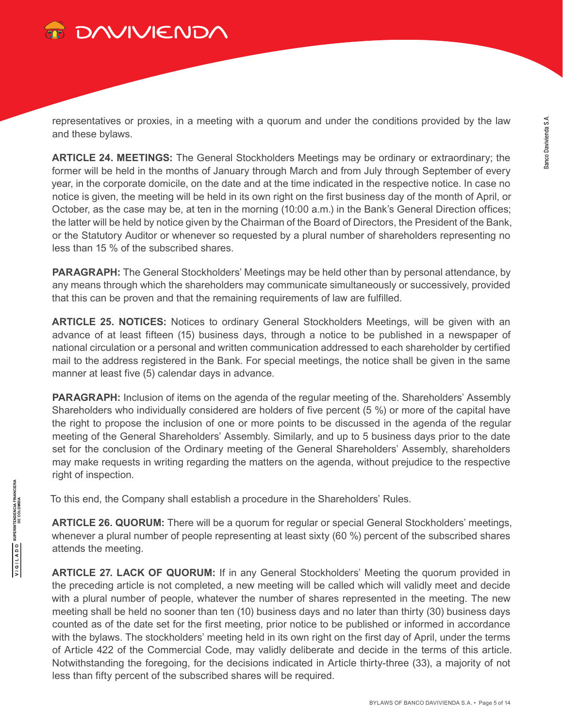

representatives or proxies, in a meeting with a quorum and under the conditions provided by the law and these bylaws.

**ARTICLE 24. MEETINGS:** The General Stockholders Meetings may be ordinary or extraordinary; the former will be held in the months of January through March and from July through September of every year, in the corporate domicile, on the date and at the time indicated in the respective notice. In case no notice is given, the meeting will be held in its own right on the first business day of the month of April, or October, as the case may be, at ten in the morning (10:00 a.m.) in the Bank's General Direction offices; the latter will be held by notice given by the Chairman of the Board of Directors, the President of the Bank, or the Statutory Auditor or whenever so requested by a plural number of shareholders representing no less than 15 % of the subscribed shares.

**PARAGRAPH:** The General Stockholders' Meetings may be held other than by personal attendance, by any means through which the shareholders may communicate simultaneously or successively, provided that this can be proven and that the remaining requirements of law are fulfilled.

**ARTICLE 25. NOTICES:** Notices to ordinary General Stockholders Meetings, will be given with an advance of at least fifteen (15) business days, through a notice to be published in a newspaper of national circulation or a personal and written communication addressed to each shareholder by certified mail to the address registered in the Bank. For special meetings, the notice shall be given in the same manner at least five (5) calendar days in advance.

**PARAGRAPH:** Inclusion of items on the agenda of the regular meeting of the. Shareholders' Assembly Shareholders who individually considered are holders of five percent (5 %) or more of the capital have the right to propose the inclusion of one or more points to be discussed in the agenda of the regular meeting of the General Shareholders' Assembly. Similarly, and up to 5 business days prior to the date set for the conclusion of the Ordinary meeting of the General Shareholders' Assembly, shareholders may make requests in writing regarding the matters on the agenda, without prejudice to the respective right of inspection.

To this end, the Company shall establish a procedure in the Shareholders' Rules.

**ARTICLE 26. QUORUM:** There will be a quorum for regular or special General Stockholders' meetings, whenever a plural number of people representing at least sixty (60 %) percent of the subscribed shares attends the meeting.

**ARTICLE 27. LACK OF QUORUM:** If in any General Stockholders' Meeting the quorum provided in the preceding article is not completed, a new meeting will be called which will validly meet and decide with a plural number of people, whatever the number of shares represented in the meeting. The new meeting shall be held no sooner than ten (10) business days and no later than thirty (30) business days counted as of the date set for the first meeting, prior notice to be published or informed in accordance with the bylaws. The stockholders' meeting held in its own right on the first day of April, under the terms of Article 422 of the Commercial Code, may validly deliberate and decide in the terms of this article. Notwithstanding the foregoing, for the decisions indicated in Article thirty-three (33), a majority of not less than fifty percent of the subscribed shares will be required.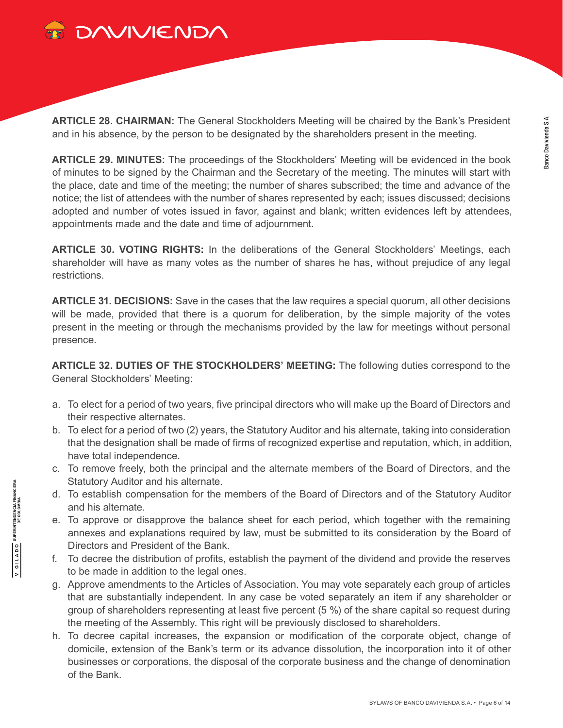

**ARTICLE 28. CHAIRMAN:** The General Stockholders Meeting will be chaired by the Bank's President and in his absence, by the person to be designated by the shareholders present in the meeting.

**ARTICLE 29. MINUTES:** The proceedings of the Stockholders' Meeting will be evidenced in the book of minutes to be signed by the Chairman and the Secretary of the meeting. The minutes will start with the place, date and time of the meeting; the number of shares subscribed; the time and advance of the notice; the list of attendees with the number of shares represented by each; issues discussed; decisions adopted and number of votes issued in favor, against and blank; written evidences left by attendees, appointments made and the date and time of adjournment.

**ARTICLE 30. VOTING RIGHTS:** In the deliberations of the General Stockholders' Meetings, each shareholder will have as many votes as the number of shares he has, without prejudice of any legal restrictions.

**ARTICLE 31. DECISIONS:** Save in the cases that the law requires a special quorum, all other decisions will be made, provided that there is a quorum for deliberation, by the simple majority of the votes present in the meeting or through the mechanisms provided by the law for meetings without personal presence.

**ARTICLE 32. DUTIES OF THE STOCKHOLDERS' MEETING:** The following duties correspond to the General Stockholders' Meeting:

- a. To elect for a period of two years, five principal directors who will make up the Board of Directors and their respective alternates.
- b. To elect for a period of two (2) years, the Statutory Auditor and his alternate, taking into consideration that the designation shall be made of firms of recognized expertise and reputation, which, in addition, have total independence.
- c. To remove freely, both the principal and the alternate members of the Board of Directors, and the Statutory Auditor and his alternate.
- d. To establish compensation for the members of the Board of Directors and of the Statutory Auditor and his alternate.
- e. To approve or disapprove the balance sheet for each period, which together with the remaining annexes and explanations required by law, must be submitted to its consideration by the Board of Directors and President of the Bank.
- f. To decree the distribution of profits, establish the payment of the dividend and provide the reserves to be made in addition to the legal ones.
- g. Approve amendments to the Articles of Association. You may vote separately each group of articles that are substantially independent. In any case be voted separately an item if any shareholder or group of shareholders representing at least five percent (5 %) of the share capital so request during the meeting of the Assembly. This right will be previously disclosed to shareholders.
- h. To decree capital increases, the expansion or modification of the corporate object, change of domicile, extension of the Bank's term or its advance dissolution, the incorporation into it of other businesses or corporations, the disposal of the corporate business and the change of denomination of the Bank.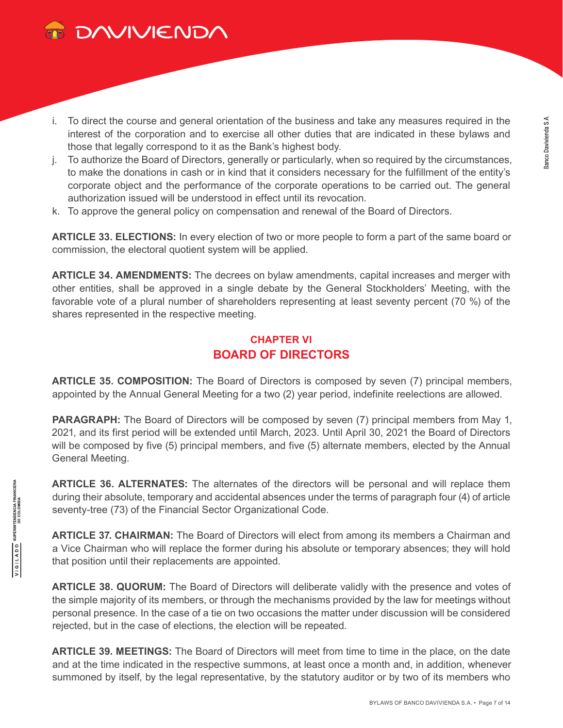

- i. To direct the course and general orientation of the business and take any measures required in the interest of the corporation and to exercise all other duties that are indicated in these bylaws and those that legally correspond to it as the Bank's highest body.
- j. To authorize the Board of Directors, generally or particularly, when so required by the circumstances, to make the donations in cash or in kind that it considers necessary for the fulfillment of the entity's corporate object and the performance of the corporate operations to be carried out. The general authorization issued will be understood in effect until its revocation.
- k. To approve the general policy on compensation and renewal of the Board of Directors.

**ARTICLE 33. ELECTIONS:** In every election of two or more people to form a part of the same board or commission, the electoral quotient system will be applied.

**ARTICLE 34. AMENDMENTS:** The decrees on bylaw amendments, capital increases and merger with other entities, shall be approved in a single debate by the General Stockholders' Meeting, with the favorable vote of a plural number of shareholders representing at least seventy percent (70 %) of the shares represented in the respective meeting.

## **CHAPTER VI BOARD OF DIRECTORS**

**ARTICLE 35. COMPOSITION:** The Board of Directors is composed by seven (7) principal members, appointed by the Annual General Meeting for a two (2) year period, indefinite reelections are allowed.

PARAGRAPH: The Board of Directors will be composed by seven (7) principal members from May 1, 2021, and its first period will be extended until March, 2023. Until April 30, 2021 the Board of Directors will be composed by five (5) principal members, and five (5) alternate members, elected by the Annual General Meeting.

**ARTICLE 36. ALTERNATES:** The alternates of the directors will be personal and will replace them during their absolute, temporary and accidental absences under the terms of paragraph four (4) of article seventy-tree (73) of the Financial Sector Organizational Code.

**ARTICLE 37. CHAIRMAN:** The Board of Directors will elect from among its members a Chairman and a Vice Chairman who will replace the former during his absolute or temporary absences; they will hold that position until their replacements are appointed.

**ARTICLE 38. QUORUM:** The Board of Directors will deliberate validly with the presence and votes of the simple majority of its members, or through the mechanisms provided by the law for meetings without personal presence. In the case of a tie on two occasions the matter under discussion will be considered rejected, but in the case of elections, the election will be repeated.

**ARTICLE 39. MEETINGS:** The Board of Directors will meet from time to time in the place, on the date and at the time indicated in the respective summons, at least once a month and, in addition, whenever summoned by itself, by the legal representative, by the statutory auditor or by two of its members who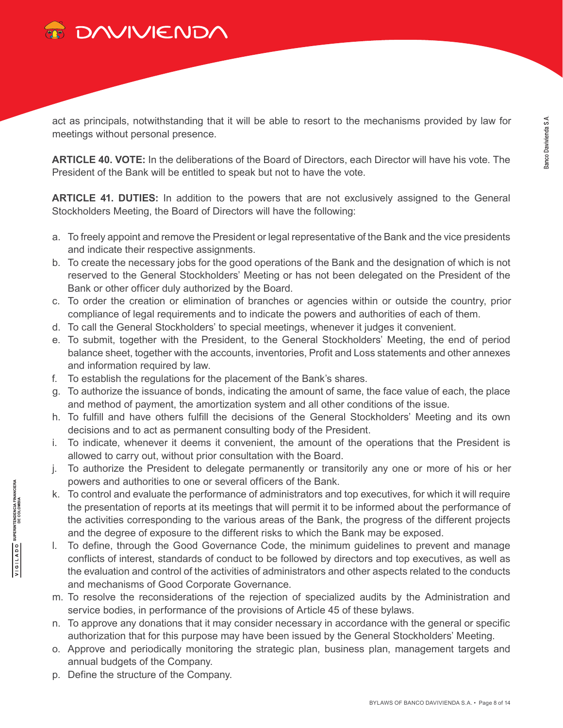

act as principals, notwithstanding that it will be able to resort to the mechanisms provided by law for meetings without personal presence.

**ARTICLE 40. VOTE:** In the deliberations of the Board of Directors, each Director will have his vote. The President of the Bank will be entitled to speak but not to have the vote.

**ARTICLE 41. DUTIES:** In addition to the powers that are not exclusively assigned to the General Stockholders Meeting, the Board of Directors will have the following:

- a. To freely appoint and remove the President or legal representative of the Bank and the vice presidents and indicate their respective assignments.
- b. To create the necessary jobs for the good operations of the Bank and the designation of which is not reserved to the General Stockholders' Meeting or has not been delegated on the President of the Bank or other officer duly authorized by the Board.
- c. To order the creation or elimination of branches or agencies within or outside the country, prior compliance of legal requirements and to indicate the powers and authorities of each of them.
- d. To call the General Stockholders' to special meetings, whenever it judges it convenient.
- e. To submit, together with the President, to the General Stockholders' Meeting, the end of period balance sheet, together with the accounts, inventories, Profit and Loss statements and other annexes and information required by law.
- f. To establish the regulations for the placement of the Bank's shares.
- g. To authorize the issuance of bonds, indicating the amount of same, the face value of each, the place and method of payment, the amortization system and all other conditions of the issue.
- h. To fulfill and have others fulfill the decisions of the General Stockholders' Meeting and its own decisions and to act as permanent consulting body of the President.
- i. To indicate, whenever it deems it convenient, the amount of the operations that the President is allowed to carry out, without prior consultation with the Board.
- j. To authorize the President to delegate permanently or transitorily any one or more of his or her powers and authorities to one or several officers of the Bank.
- k. To control and evaluate the performance of administrators and top executives, for which it will require the presentation of reports at its meetings that will permit it to be informed about the performance of the activities corresponding to the various areas of the Bank, the progress of the different projects and the degree of exposure to the different risks to which the Bank may be exposed.
- l. To define, through the Good Governance Code, the minimum guidelines to prevent and manage conflicts of interest, standards of conduct to be followed by directors and top executives, as well as the evaluation and control of the activities of administrators and other aspects related to the conducts and mechanisms of Good Corporate Governance.
- m. To resolve the reconsiderations of the rejection of specialized audits by the Administration and service bodies, in performance of the provisions of Article 45 of these bylaws.
- n. To approve any donations that it may consider necessary in accordance with the general or specific authorization that for this purpose may have been issued by the General Stockholders' Meeting.
- o. Approve and periodically monitoring the strategic plan, business plan, management targets and annual budgets of the Company.
- p. Define the structure of the Company.

**SUPERINTENDENCIA FINANCIERA**<br>DE COLOMBIA

VIGILADO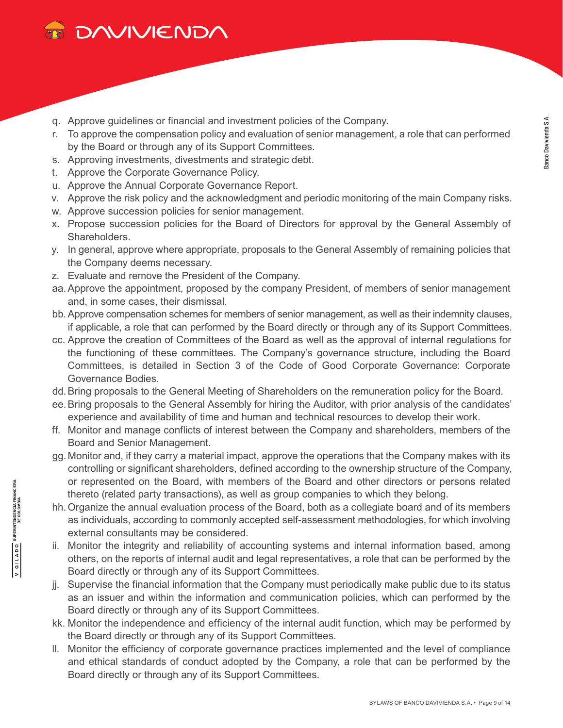

- q. Approve guidelines or financial and investment policies of the Company.
- r. To approve the compensation policy and evaluation of senior management, a role that can performed by the Board or through any of its Support Committees.
- s. Approving investments, divestments and strategic debt.
- t. Approve the Corporate Governance Policy.

**SUPERINTENDENCIA FINANCIERA**<br>DE COLOMBIA

VIGILADO

- u. Approve the Annual Corporate Governance Report.
- v. Approve the risk policy and the acknowledgment and periodic monitoring of the main Company risks.
- w. Approve succession policies for senior management.
- x. Propose succession policies for the Board of Directors for approval by the General Assembly of Shareholders.
- y. In general, approve where appropriate, proposals to the General Assembly of remaining policies that the Company deems necessary.
- z. Evaluate and remove the President of the Company.
- aa.Approve the appointment, proposed by the company President, of members of senior management and, in some cases, their dismissal.
- bb.Approve compensation schemes for members of senior management, as well as their indemnity clauses, if applicable, a role that can performed by the Board directly or through any of its Support Committees.
- cc. Approve the creation of Committees of the Board as well as the approval of internal regulations for the functioning of these committees. The Company's governance structure, including the Board Committees, is detailed in Section 3 of the Code of Good Corporate Governance: Corporate Governance Bodies.
- dd.Bring proposals to the General Meeting of Shareholders on the remuneration policy for the Board.
- ee.Bring proposals to the General Assembly for hiring the Auditor, with prior analysis of the candidates' experience and availability of time and human and technical resources to develop their work.
- ff. Monitor and manage conflicts of interest between the Company and shareholders, members of the Board and Senior Management.
- gg. Monitor and, if they carry a material impact, approve the operations that the Company makes with its controlling or significant shareholders, defined according to the ownership structure of the Company, or represented on the Board, with members of the Board and other directors or persons related thereto (related party transactions), as well as group companies to which they belong.
- hh.Organize the annual evaluation process of the Board, both as a collegiate board and of its members as individuals, according to commonly accepted self-assessment methodologies, for which involving external consultants may be considered.
- ii. Monitor the integrity and reliability of accounting systems and internal information based, among others, on the reports of internal audit and legal representatives, a role that can be performed by the Board directly or through any of its Support Committees.
- jj. Supervise the financial information that the Company must periodically make public due to its status as an issuer and within the information and communication policies, which can performed by the Board directly or through any of its Support Committees.
- kk. Monitor the independence and efficiency of the internal audit function, which may be performed by the Board directly or through any of its Support Committees.
- ll. Monitor the efficiency of corporate governance practices implemented and the level of compliance and ethical standards of conduct adopted by the Company, a role that can be performed by the Board directly or through any of its Support Committees.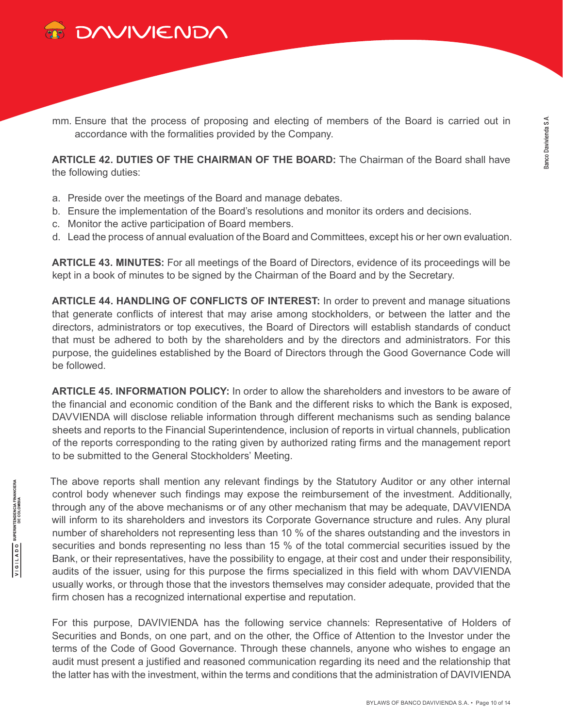

**SUPERINTENDENCIA FINANCIERA**<br>DE COLOMBIA

OQV1191A

mm. Ensure that the process of proposing and electing of members of the Board is carried out in accordance with the formalities provided by the Company.

**ARTICLE 42. DUTIES OF THE CHAIRMAN OF THE BOARD:** The Chairman of the Board shall have the following duties:

- a. Preside over the meetings of the Board and manage debates.
- b. Ensure the implementation of the Board's resolutions and monitor its orders and decisions.
- c. Monitor the active participation of Board members.
- d. Lead the process of annual evaluation of the Board and Committees, except his or her own evaluation.

**ARTICLE 43. MINUTES:** For all meetings of the Board of Directors, evidence of its proceedings will be kept in a book of minutes to be signed by the Chairman of the Board and by the Secretary.

**ARTICLE 44. HANDLING OF CONFLICTS OF INTEREST:** In order to prevent and manage situations that generate conflicts of interest that may arise among stockholders, or between the latter and the directors, administrators or top executives, the Board of Directors will establish standards of conduct that must be adhered to both by the shareholders and by the directors and administrators. For this purpose, the guidelines established by the Board of Directors through the Good Governance Code will be followed.

**ARTICLE 45. INFORMATION POLICY:** In order to allow the shareholders and investors to be aware of the financial and economic condition of the Bank and the different risks to which the Bank is exposed, DAVVIENDA will disclose reliable information through different mechanisms such as sending balance sheets and reports to the Financial Superintendence, inclusion of reports in virtual channels, publication of the reports corresponding to the rating given by authorized rating firms and the management report to be submitted to the General Stockholders' Meeting.

The above reports shall mention any relevant findings by the Statutory Auditor or any other internal control body whenever such findings may expose the reimbursement of the investment. Additionally, through any of the above mechanisms or of any other mechanism that may be adequate, DAVVIENDA will inform to its shareholders and investors its Corporate Governance structure and rules. Any plural number of shareholders not representing less than 10 % of the shares outstanding and the investors in securities and bonds representing no less than 15 % of the total commercial securities issued by the Bank, or their representatives, have the possibility to engage, at their cost and under their responsibility, audits of the issuer, using for this purpose the firms specialized in this field with whom DAVVIENDA usually works, or through those that the investors themselves may consider adequate, provided that the firm chosen has a recognized international expertise and reputation.

For this purpose, DAVIVIENDA has the following service channels: Representative of Holders of Securities and Bonds, on one part, and on the other, the Office of Attention to the Investor under the terms of the Code of Good Governance. Through these channels, anyone who wishes to engage an audit must present a justified and reasoned communication regarding its need and the relationship that the latter has with the investment, within the terms and conditions that the administration of DAVIVIENDA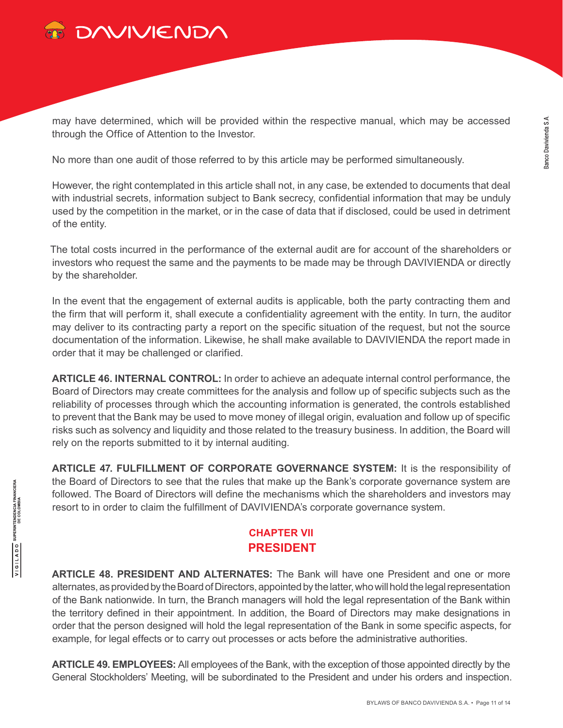

may have determined, which will be provided within the respective manual, which may be accessed through the Office of Attention to the Investor.

No more than one audit of those referred to by this article may be performed simultaneously.

However, the right contemplated in this article shall not, in any case, be extended to documents that deal with industrial secrets, information subject to Bank secrecy, confidential information that may be unduly used by the competition in the market, or in the case of data that if disclosed, could be used in detriment of the entity.

The total costs incurred in the performance of the external audit are for account of the shareholders or investors who request the same and the payments to be made may be through DAVIVIENDA or directly by the shareholder.

In the event that the engagement of external audits is applicable, both the party contracting them and the firm that will perform it, shall execute a confidentiality agreement with the entity. In turn, the auditor may deliver to its contracting party a report on the specific situation of the request, but not the source documentation of the information. Likewise, he shall make available to DAVIVIENDA the report made in order that it may be challenged or clarified.

**ARTICLE 46. INTERNAL CONTROL:** In order to achieve an adequate internal control performance, the Board of Directors may create committees for the analysis and follow up of specific subjects such as the reliability of processes through which the accounting information is generated, the controls established to prevent that the Bank may be used to move money of illegal origin, evaluation and follow up of specific risks such as solvency and liquidity and those related to the treasury business. In addition, the Board will rely on the reports submitted to it by internal auditing.

**ARTICLE 47. FULFILLMENT OF CORPORATE GOVERNANCE SYSTEM:** It is the responsibility of the Board of Directors to see that the rules that make up the Bank's corporate governance system are followed. The Board of Directors will define the mechanisms which the shareholders and investors may resort to in order to claim the fulfillment of DAVIVIENDA's corporate governance system.

### **CHAPTER VII PRESIDENT**

**ARTICLE 48. PRESIDENT AND ALTERNATES:** The Bank will have one President and one or more alternates, as provided by the Board of Directors, appointed by the latter, who will hold the legal representation of the Bank nationwide. In turn, the Branch managers will hold the legal representation of the Bank within the territory defined in their appointment. In addition, the Board of Directors may make designations in order that the person designed will hold the legal representation of the Bank in some specific aspects, for example, for legal effects or to carry out processes or acts before the administrative authorities.

**ARTICLE 49. EMPLOYEES:** All employees of the Bank, with the exception of those appointed directly by the General Stockholders' Meeting, will be subordinated to the President and under his orders and inspection.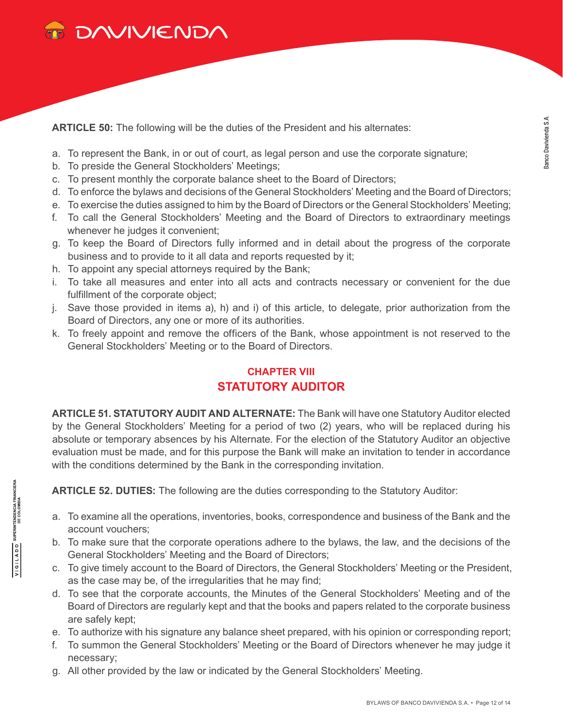

**ARTICLE 50:** The following will be the duties of the President and his alternates:

- a. To represent the Bank, in or out of court, as legal person and use the corporate signature;
- b. To preside the General Stockholders' Meetings;
- c. To present monthly the corporate balance sheet to the Board of Directors;
- d. To enforce the bylaws and decisions of the General Stockholders' Meeting and the Board of Directors;
- e. To exercise the duties assigned to him by the Board of Directors or the General Stockholders' Meeting;
- f. To call the General Stockholders' Meeting and the Board of Directors to extraordinary meetings whenever he judges it convenient;
- g. To keep the Board of Directors fully informed and in detail about the progress of the corporate business and to provide to it all data and reports requested by it;
- h. To appoint any special attorneys required by the Bank;
- i. To take all measures and enter into all acts and contracts necessary or convenient for the due fulfillment of the corporate object;
- j. Save those provided in items a), h) and i) of this article, to delegate, prior authorization from the Board of Directors, any one or more of its authorities.
- k. To freely appoint and remove the officers of the Bank, whose appointment is not reserved to the General Stockholders' Meeting or to the Board of Directors.

### **CHAPTER VIII STATUTORY AUDITOR**

**ARTICLE 51. STATUTORY AUDIT AND ALTERNATE:** The Bank will have one Statutory Auditor elected by the General Stockholders' Meeting for a period of two (2) years, who will be replaced during his absolute or temporary absences by his Alternate. For the election of the Statutory Auditor an objective evaluation must be made, and for this purpose the Bank will make an invitation to tender in accordance with the conditions determined by the Bank in the corresponding invitation.

**ARTICLE 52. DUTIES:** The following are the duties corresponding to the Statutory Auditor:

- a. To examine all the operations, inventories, books, correspondence and business of the Bank and the account vouchers;
- b. To make sure that the corporate operations adhere to the bylaws, the law, and the decisions of the General Stockholders' Meeting and the Board of Directors;
- c. To give timely account to the Board of Directors, the General Stockholders' Meeting or the President, as the case may be, of the irregularities that he may find;
- d. To see that the corporate accounts, the Minutes of the General Stockholders' Meeting and of the Board of Directors are regularly kept and that the books and papers related to the corporate business are safely kept;
- e. To authorize with his signature any balance sheet prepared, with his opinion or corresponding report;
- f. To summon the General Stockholders' Meeting or the Board of Directors whenever he may judge it necessary;
- g. All other provided by the law or indicated by the General Stockholders' Meeting.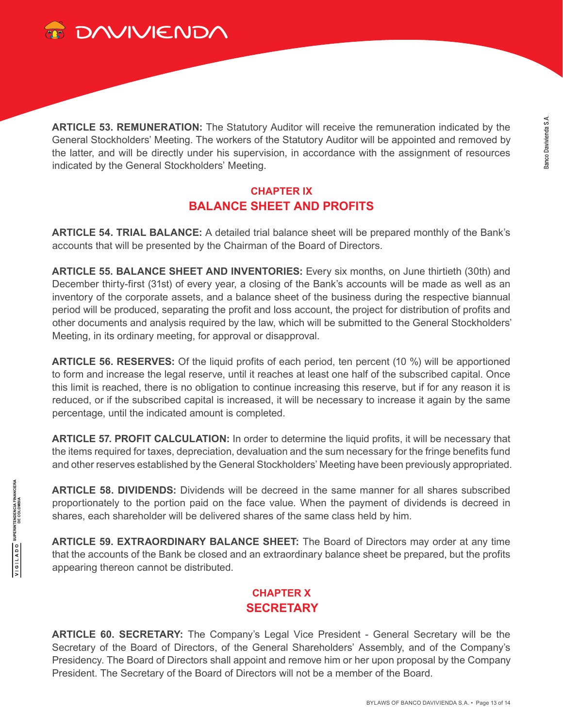

**ARTICLE 53. REMUNERATION:** The Statutory Auditor will receive the remuneration indicated by the General Stockholders' Meeting. The workers of the Statutory Auditor will be appointed and removed by the latter, and will be directly under his supervision, in accordance with the assignment of resources indicated by the General Stockholders' Meeting.

### **CHAPTER IX BALANCE SHEET AND PROFITS**

**ARTICLE 54. TRIAL BALANCE:** A detailed trial balance sheet will be prepared monthly of the Bank's accounts that will be presented by the Chairman of the Board of Directors.

**ARTICLE 55. BALANCE SHEET AND INVENTORIES:** Every six months, on June thirtieth (30th) and December thirty-first (31st) of every year, a closing of the Bank's accounts will be made as well as an inventory of the corporate assets, and a balance sheet of the business during the respective biannual period will be produced, separating the profit and loss account, the project for distribution of profits and other documents and analysis required by the law, which will be submitted to the General Stockholders' Meeting, in its ordinary meeting, for approval or disapproval.

**ARTICLE 56. RESERVES:** Of the liquid profits of each period, ten percent (10 %) will be apportioned to form and increase the legal reserve, until it reaches at least one half of the subscribed capital. Once this limit is reached, there is no obligation to continue increasing this reserve, but if for any reason it is reduced, or if the subscribed capital is increased, it will be necessary to increase it again by the same percentage, until the indicated amount is completed.

**ARTICLE 57. PROFIT CALCULATION:** In order to determine the liquid profits, it will be necessary that the items required for taxes, depreciation, devaluation and the sum necessary for the fringe benefits fund and other reserves established by the General Stockholders' Meeting have been previously appropriated.

**ARTICLE 58. DIVIDENDS:** Dividends will be decreed in the same manner for all shares subscribed proportionately to the portion paid on the face value. When the payment of dividends is decreed in shares, each shareholder will be delivered shares of the same class held by him.

**ARTICLE 59. EXTRAORDINARY BALANCE SHEET:** The Board of Directors may order at any time that the accounts of the Bank be closed and an extraordinary balance sheet be prepared, but the profits appearing thereon cannot be distributed.

## **CHAPTER X SECRETARY**

**ARTICLE 60. SECRETARY:** The Company's Legal Vice President - General Secretary will be the Secretary of the Board of Directors, of the General Shareholders' Assembly, and of the Company's Presidency. The Board of Directors shall appoint and remove him or her upon proposal by the Company President. The Secretary of the Board of Directors will not be a member of the Board.